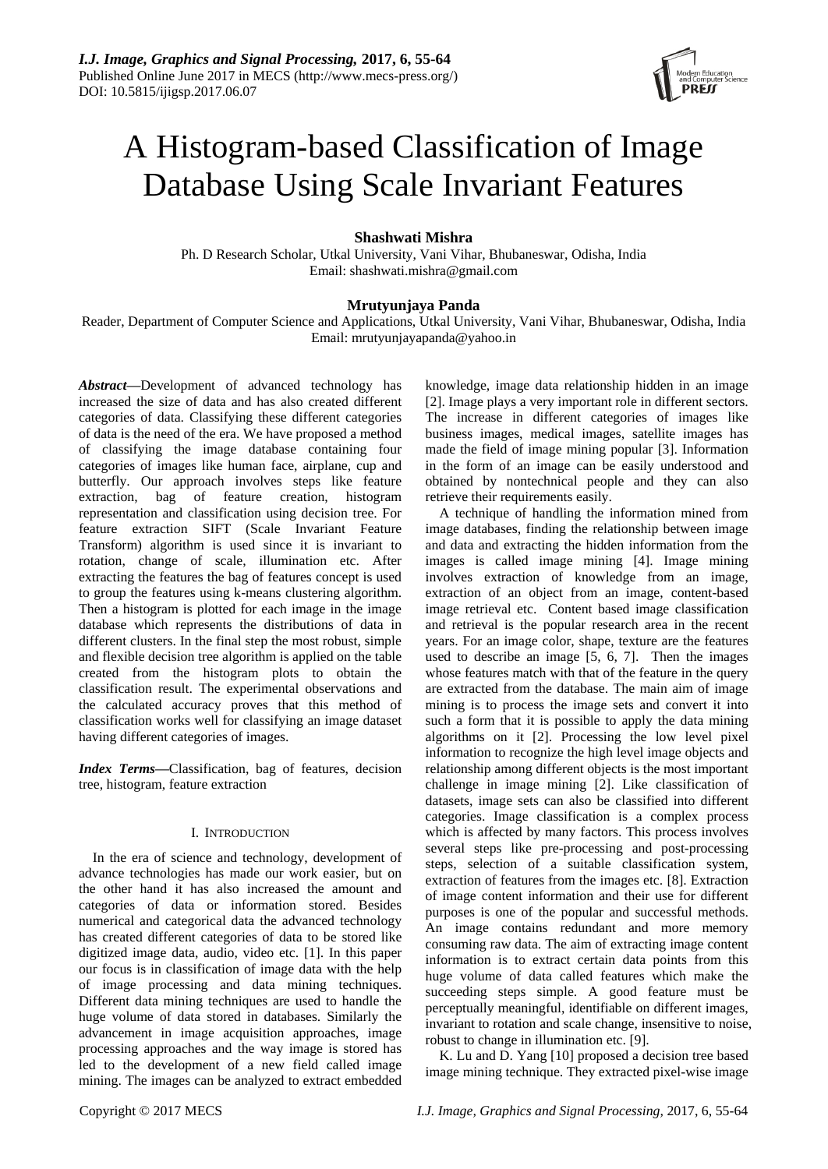

# A Histogram-based Classification of Image Database Using Scale Invariant Features

# **Shashwati Mishra**

Ph. D Research Scholar, Utkal University, Vani Vihar, Bhubaneswar, Odisha, India Email: shashwati.mishra@gmail.com

# **Mrutyunjaya Panda**

Reader, Department of Computer Science and Applications, Utkal University, Vani Vihar, Bhubaneswar, Odisha, India Email: mrutyunjayapanda@yahoo.in

*Abstract***—**Development of advanced technology has increased the size of data and has also created different categories of data. Classifying these different categories of data is the need of the era. We have proposed a method of classifying the image database containing four categories of images like human face, airplane, cup and butterfly. Our approach involves steps like feature extraction, bag of feature creation, histogram representation and classification using decision tree. For feature extraction SIFT (Scale Invariant Feature Transform) algorithm is used since it is invariant to rotation, change of scale, illumination etc. After extracting the features the bag of features concept is used to group the features using k-means clustering algorithm. Then a histogram is plotted for each image in the image database which represents the distributions of data in different clusters. In the final step the most robust, simple and flexible decision tree algorithm is applied on the table created from the histogram plots to obtain the classification result. The experimental observations and the calculated accuracy proves that this method of classification works well for classifying an image dataset having different categories of images.

*Index Terms***—**Classification, bag of features, decision tree, histogram, feature extraction

## I. INTRODUCTION

In the era of science and technology, development of advance technologies has made our work easier, but on the other hand it has also increased the amount and categories of data or information stored. Besides numerical and categorical data the advanced technology has created different categories of data to be stored like digitized image data, audio, video etc. [1]. In this paper our focus is in classification of image data with the help of image processing and data mining techniques. Different data mining techniques are used to handle the huge volume of data stored in databases. Similarly the advancement in image acquisition approaches, image processing approaches and the way image is stored has led to the development of a new field called image mining. The images can be analyzed to extract embedded knowledge, image data relationship hidden in an image [2]. Image plays a very important role in different sectors. The increase in different categories of images like business images, medical images, satellite images has made the field of image mining popular [3]. Information in the form of an image can be easily understood and obtained by nontechnical people and they can also retrieve their requirements easily.

A technique of handling the information mined from image databases, finding the relationship between image and data and extracting the hidden information from the images is called image mining [4]. Image mining involves extraction of knowledge from an image, extraction of an object from an image, content-based image retrieval etc. Content based image classification and retrieval is the popular research area in the recent years. For an image color, shape, texture are the features used to describe an image [5, 6, 7]. Then the images whose features match with that of the feature in the query are extracted from the database. The main aim of image mining is to process the image sets and convert it into such a form that it is possible to apply the data mining algorithms on it [2]. Processing the low level pixel information to recognize the high level image objects and relationship among different objects is the most important challenge in image mining [2]. Like classification of datasets, image sets can also be classified into different categories. Image classification is a complex process which is affected by many factors. This process involves several steps like pre-processing and post-processing steps, selection of a suitable classification system, extraction of features from the images etc. [8]. Extraction of image content information and their use for different purposes is one of the popular and successful methods. An image contains redundant and more memory consuming raw data. The aim of extracting image content information is to extract certain data points from this huge volume of data called features which make the succeeding steps simple. A good feature must be perceptually meaningful, identifiable on different images, invariant to rotation and scale change, insensitive to noise, robust to change in illumination etc. [9].

K. Lu and D. Yang [10] proposed a decision tree based image mining technique. They extracted pixel-wise image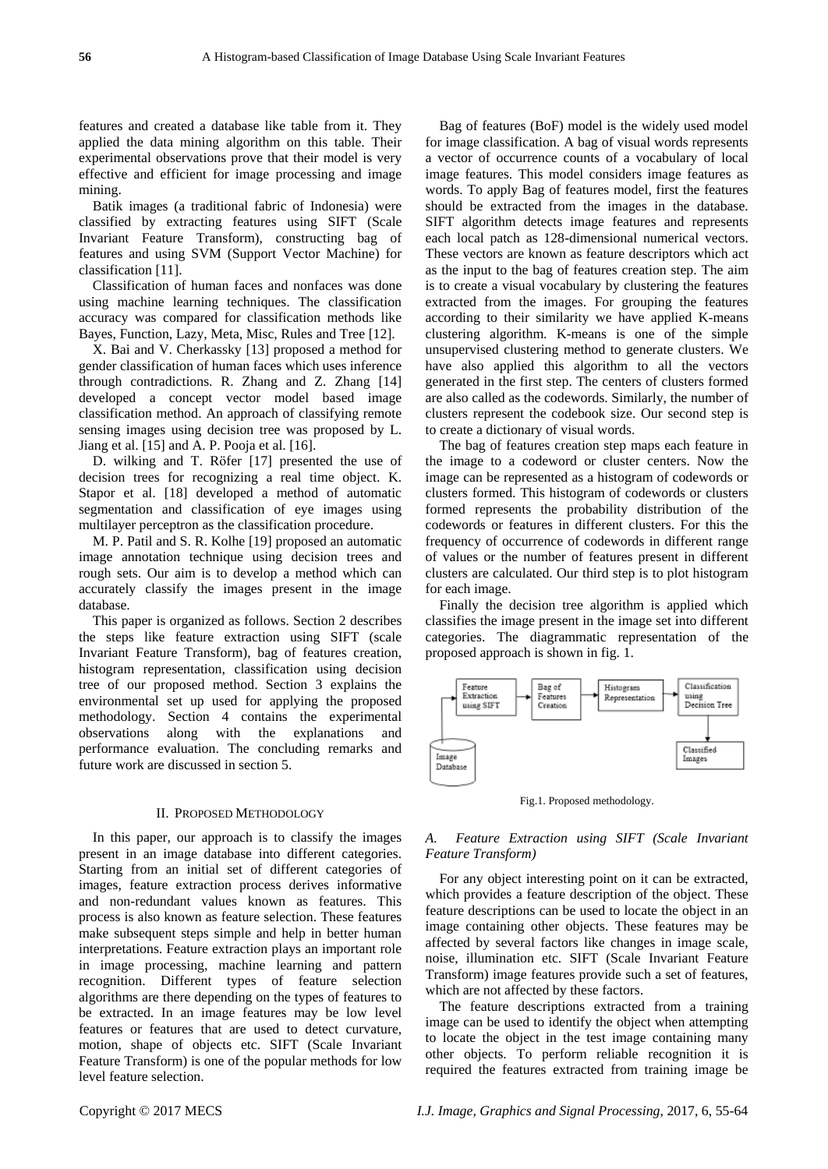features and created a database like table from it. They applied the data mining algorithm on this table. Their experimental observations prove that their model is very effective and efficient for image processing and image mining.

Batik images (a traditional fabric of Indonesia) were classified by extracting features using SIFT (Scale Invariant Feature Transform), constructing bag of features and using SVM (Support Vector Machine) for classification [11].

Classification of human faces and nonfaces was done using machine learning techniques. The classification accuracy was compared for classification methods like Bayes, Function, Lazy, Meta, Misc, Rules and Tree [12].

X. Bai and V. Cherkassky [13] proposed a method for gender classification of human faces which uses inference through contradictions. R. Zhang and Z. Zhang [14] developed a concept vector model based image classification method. An approach of classifying remote sensing images using decision tree was proposed by L. Jiang et al. [15] and A. P. Pooja et al. [16].

D. wilking and T. Rӧfer [17] presented the use of decision trees for recognizing a real time object. K. Stapor et al. [18] developed a method of automatic segmentation and classification of eye images using multilayer perceptron as the classification procedure.

M. P. Patil and S. R. Kolhe [19] proposed an automatic image annotation technique using decision trees and rough sets. Our aim is to develop a method which can accurately classify the images present in the image database.

This paper is organized as follows. Section 2 describes the steps like feature extraction using SIFT (scale Invariant Feature Transform), bag of features creation, histogram representation, classification using decision tree of our proposed method. Section 3 explains the environmental set up used for applying the proposed methodology. Section 4 contains the experimental observations along with the explanations and performance evaluation. The concluding remarks and future work are discussed in section 5.

#### II. PROPOSED METHODOLOGY

In this paper, our approach is to classify the images present in an image database into different categories. Starting from an initial set of different categories of images, feature extraction process derives informative and non-redundant values known as features. This process is also known as feature selection. These features make subsequent steps simple and help in better human interpretations. Feature extraction plays an important role in image processing, machine learning and pattern recognition. Different types of feature selection algorithms are there depending on the types of features to be extracted. In an image features may be low level features or features that are used to detect curvature, motion, shape of objects etc. SIFT (Scale Invariant Feature Transform) is one of the popular methods for low level feature selection.

Bag of features (BoF) model is the widely used model for image classification. A bag of visual words represents a vector of occurrence counts of a vocabulary of local image features. This model considers image features as words. To apply Bag of features model, first the features should be extracted from the images in the database. SIFT algorithm detects image features and represents each local patch as 128-dimensional numerical vectors. These vectors are known as feature descriptors which act as the input to the bag of features creation step. The aim is to create a visual vocabulary by clustering the features extracted from the images. For grouping the features according to their similarity we have applied K-means clustering algorithm. K-means is one of the simple unsupervised clustering method to generate clusters. We have also applied this algorithm to all the vectors generated in the first step. The centers of clusters formed are also called as the codewords. Similarly, the number of clusters represent the codebook size. Our second step is to create a dictionary of visual words.

The bag of features creation step maps each feature in the image to a codeword or cluster centers. Now the image can be represented as a histogram of codewords or clusters formed. This histogram of codewords or clusters formed represents the probability distribution of the codewords or features in different clusters. For this the frequency of occurrence of codewords in different range of values or the number of features present in different clusters are calculated. Our third step is to plot histogram for each image.

Finally the decision tree algorithm is applied which classifies the image present in the image set into different categories. The diagrammatic representation of the proposed approach is shown in fig. 1.



Fig.1. Proposed methodology.

# *A. Feature Extraction using SIFT (Scale Invariant Feature Transform)*

For any object interesting point on it can be extracted, which provides a feature description of the object. These feature descriptions can be used to locate the object in an image containing other objects. These features may be affected by several factors like changes in image scale, noise, illumination etc. SIFT (Scale Invariant Feature Transform) image features provide such a set of features, which are not affected by these factors.

The feature descriptions extracted from a training image can be used to identify the object when attempting to locate the object in the test image containing many other objects. To perform reliable recognition it is required the features extracted from training image be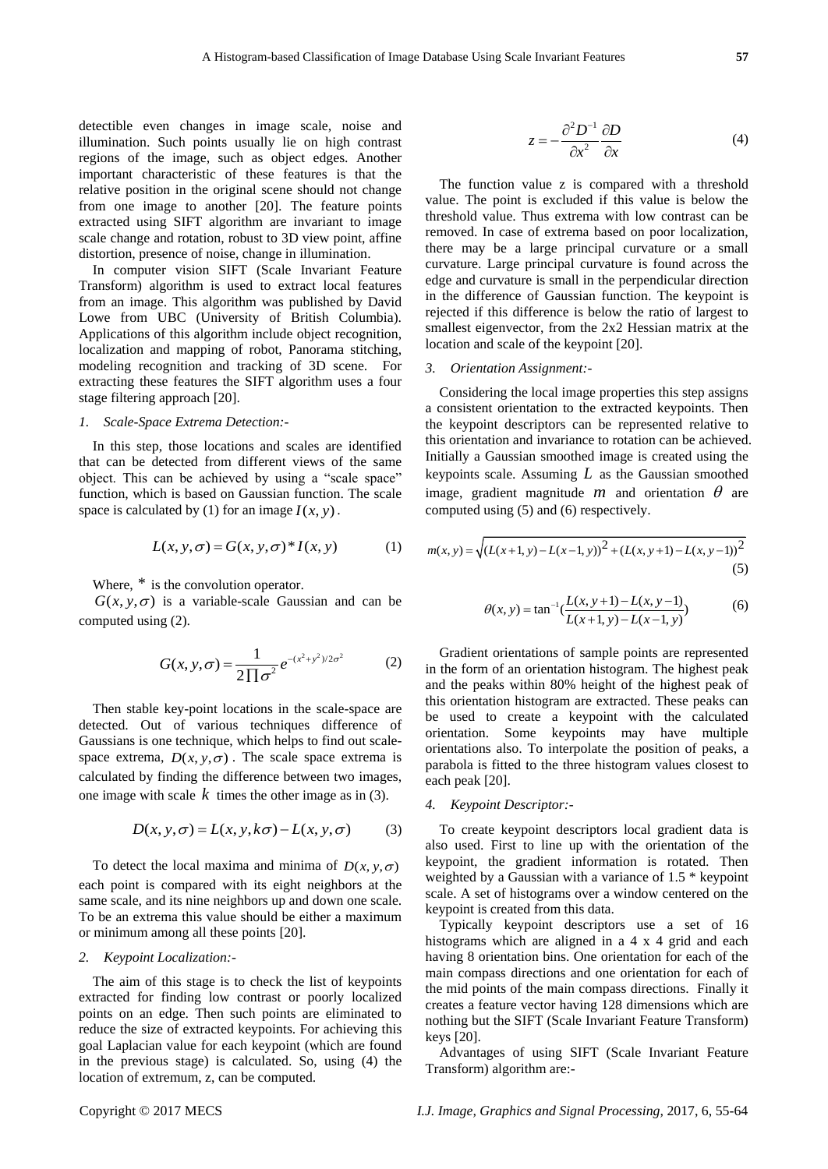detectible even changes in image scale, noise and illumination. Such points usually lie on high contrast regions of the image, such as object edges. Another important characteristic of these features is that the relative position in the original scene should not change from one image to another [20]. The feature points extracted using SIFT algorithm are invariant to image scale change and rotation, robust to 3D view point, affine distortion, presence of noise, change in illumination. detective two matrix in the specific internet in the specific detective the method internet channel and method internet channel and method internet channel and the computed internet in the computed internet in the compute

In computer vision SIFT (Scale Invariant Feature Transform) algorithm is used to extract local features from an image. This algorithm was published by David Lowe from UBC (University of British Columbia). Applications of this algorithm include object recognition, localization and mapping of robot, Panorama stitching, modeling recognition and tracking of 3D scene. For extracting these features the SIFT algorithm uses a four stage filtering approach [20].

## *1. Scale-Space Extrema Detection:-*

In this step, those locations and scales are identified that can be detected from different views of the same object. This can be achieved by using a "scale space" function, which is based on Gaussian function. The scale space is calculated by (1) for an image  $I(x, y)$ .

$$
L(x, y, \sigma) = G(x, y, \sigma)^* I(x, y)
$$
 (1)

Where,  $*$  is the convolution operator.

 $G(x, y, \sigma)$  is a variable-scale Gaussian and can be computed using (2).

$$
G(x, y, \sigma) = \frac{1}{2\prod \sigma^2} e^{-(x^2 + y^2)/2\sigma^2}
$$
 (2)

Then stable key-point locations in the scale-space are detected. Out of various techniques difference of Gaussians is one technique, which helps to find out scalespace extrema,  $D(x, y, \sigma)$ . The scale space extrema is calculated by finding the difference between two images, one image with scale  $k$  times the other image as in (3).

$$
D(x, y, \sigma) = L(x, y, k\sigma) - L(x, y, \sigma)
$$
 (3)

To detect the local maxima and minima of  $D(x, y, \sigma)$ each point is compared with its eight neighbors at the same scale, and its nine neighbors up and down one scale. To be an extrema this value should be either a maximum or minimum among all these points [20].

#### *2. Keypoint Localization:-*

The aim of this stage is to check the list of keypoints extracted for finding low contrast or poorly localized points on an edge. Then such points are eliminated to reduce the size of extracted keypoints. For achieving this goal Laplacian value for each keypoint (which are found in the previous stage) is calculated. So, using (4) the

$$
z = -\frac{\partial^2 D^{-1}}{\partial x^2} \frac{\partial D}{\partial x}
$$
 (4)

The function value z is compared with a threshold value. The point is excluded if this value is below the threshold value. Thus extrema with low contrast can be removed. In case of extrema based on poor localization, there may be a large principal curvature or a small curvature. Large principal curvature is found across the edge and curvature is small in the perpendicular direction in the difference of Gaussian function. The keypoint is rejected if this difference is below the ratio of largest to smallest eigenvector, from the 2x2 Hessian matrix at the location and scale of the keypoint [20].

#### *3. Orientation Assignment:-*

Considering the local image properties this step assigns a consistent orientation to the extracted keypoints. Then the keypoint descriptors can be represented relative to this orientation and invariance to rotation can be achieved. Initially a Gaussian smoothed image is created using the keypoints scale. Assuming *L* as the Gaussian smoothed image, gradient magnitude  $m$  and orientation  $\theta$  are

computed using (5) and (6) respectively.  
\n
$$
m(x, y) = \sqrt{(L(x+1, y) - L(x-1, y))^2 + (L(x, y+1) - L(x, y-1))^2}
$$
\n(5)

$$
\theta(x, y) = \tan^{-1}\left(\frac{L(x, y+1) - L(x, y-1)}{L(x+1, y) - L(x-1, y)}\right)
$$
(6)

Gradient orientations of sample points are represented in the form of an orientation histogram. The highest peak and the peaks within 80% height of the highest peak of this orientation histogram are extracted. These peaks can be used to create a keypoint with the calculated orientation. Some keypoints may have multiple orientations also. To interpolate the position of peaks, a parabola is fitted to the three histogram values closest to each peak [20].

## *4. Keypoint Descriptor:-*

To create keypoint descriptors local gradient data is also used. First to line up with the orientation of the keypoint, the gradient information is rotated. Then weighted by a Gaussian with a variance of 1.5 \* keypoint scale. A set of histograms over a window centered on the keypoint is created from this data.

Typically keypoint descriptors use a set of 16 histograms which are aligned in a 4 x 4 grid and each having 8 orientation bins. One orientation for each of the main compass directions and one orientation for each of the mid points of the main compass directions. Finally it creates a feature vector having 128 dimensions which are nothing but the SIFT (Scale Invariant Feature Transform) keys [20].

Advantages of using SIFT (Scale Invariant Feature Transform) algorithm are:-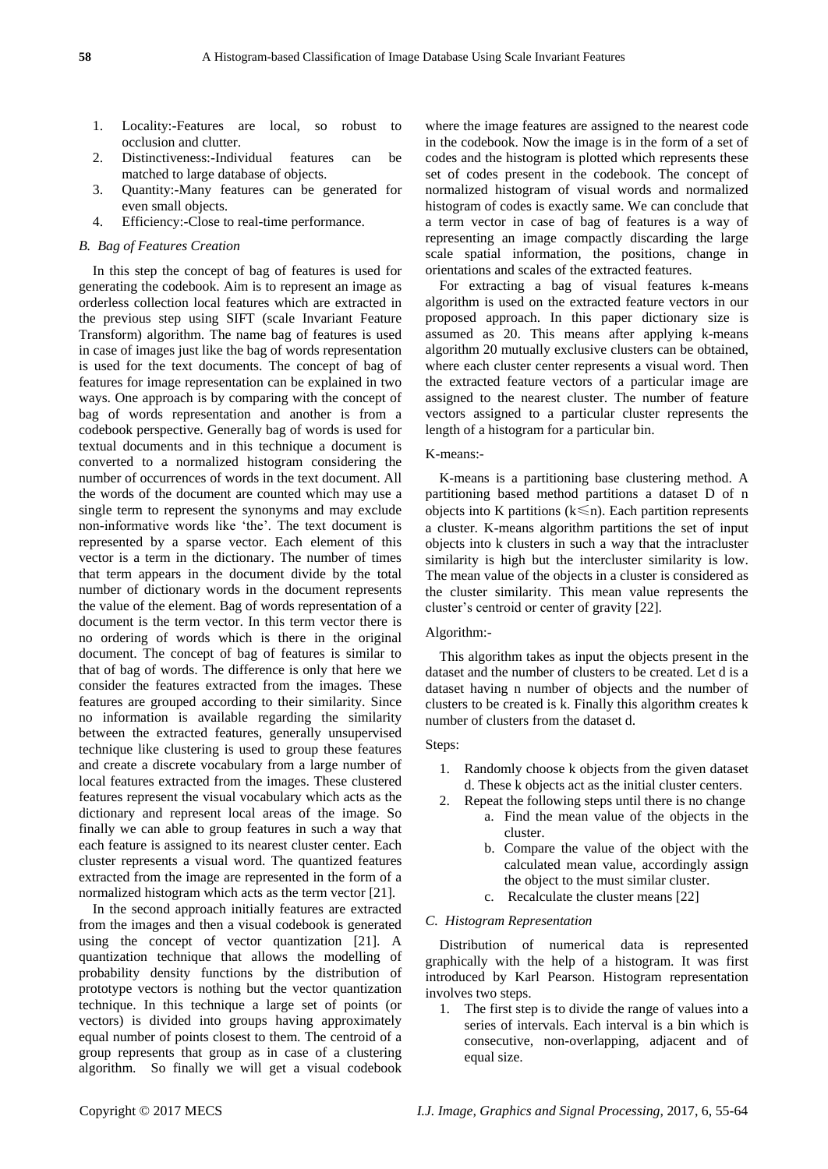- 1. Locality:-Features are local, so robust to occlusion and clutter.
- 2. Distinctiveness:-Individual features can be matched to large database of objects.
- 3. Quantity:-Many features can be generated for even small objects.
- 4. Efficiency:-Close to real-time performance.

# *B. Bag of Features Creation*

In this step the concept of bag of features is used for generating the codebook. Aim is to represent an image as orderless collection local features which are extracted in the previous step using SIFT (scale Invariant Feature Transform) algorithm. The name bag of features is used in case of images just like the bag of words representation is used for the text documents. The concept of bag of features for image representation can be explained in two ways. One approach is by comparing with the concept of bag of words representation and another is from a codebook perspective. Generally bag of words is used for textual documents and in this technique a document is converted to a normalized histogram considering the number of occurrences of words in the text document. All the words of the document are counted which may use a single term to represent the synonyms and may exclude non-informative words like 'the'. The text document is represented by a sparse vector. Each element of this vector is a term in the dictionary. The number of times that term appears in the document divide by the total number of dictionary words in the document represents the value of the element. Bag of words representation of a document is the term vector. In this term vector there is no ordering of words which is there in the original document. The concept of bag of features is similar to that of bag of words. The difference is only that here we consider the features extracted from the images. These features are grouped according to their similarity. Since no information is available regarding the similarity between the extracted features, generally unsupervised technique like clustering is used to group these features and create a discrete vocabulary from a large number of local features extracted from the images. These clustered features represent the visual vocabulary which acts as the dictionary and represent local areas of the image. So finally we can able to group features in such a way that each feature is assigned to its nearest cluster center. Each cluster represents a visual word. The quantized features extracted from the image are represented in the form of a normalized histogram which acts as the term vector [21].

In the second approach initially features are extracted from the images and then a visual codebook is generated using the concept of vector quantization [21]. A quantization technique that allows the modelling of probability density functions by the distribution of prototype vectors is nothing but the vector quantization technique. In this technique a large set of points (or vectors) is divided into groups having approximately equal number of points closest to them. The centroid of a group represents that group as in case of a clustering algorithm. So finally we will get a visual codebook where the image features are assigned to the nearest code in the codebook. Now the image is in the form of a set of codes and the histogram is plotted which represents these set of codes present in the codebook. The concept of normalized histogram of visual words and normalized histogram of codes is exactly same. We can conclude that a term vector in case of bag of features is a way of representing an image compactly discarding the large scale spatial information, the positions, change in orientations and scales of the extracted features.

For extracting a bag of visual features k-means algorithm is used on the extracted feature vectors in our proposed approach. In this paper dictionary size is assumed as 20. This means after applying k-means algorithm 20 mutually exclusive clusters can be obtained, where each cluster center represents a visual word. Then the extracted feature vectors of a particular image are assigned to the nearest cluster. The number of feature vectors assigned to a particular cluster represents the length of a histogram for a particular bin.

## K-means:-

K-means is a partitioning base clustering method. A partitioning based method partitions a dataset D of n objects into K partitions ( $k \le n$ ). Each partition represents a cluster. K-means algorithm partitions the set of input objects into k clusters in such a way that the intracluster similarity is high but the intercluster similarity is low. The mean value of the objects in a cluster is considered as the cluster similarity. This mean value represents the cluster's centroid or center of gravity [22].

# Algorithm:-

This algorithm takes as input the objects present in the dataset and the number of clusters to be created. Let d is a dataset having n number of objects and the number of clusters to be created is k. Finally this algorithm creates k number of clusters from the dataset d.

# Steps:

- 1. Randomly choose k objects from the given dataset d. These k objects act as the initial cluster centers.
- 2. Repeat the following steps until there is no change a. Find the mean value of the objects in the cluster.
	- b. Compare the value of the object with the calculated mean value, accordingly assign the object to the must similar cluster.
	- c. Recalculate the cluster means [22]

## *C. Histogram Representation*

Distribution of numerical data is represented graphically with the help of a histogram. It was first introduced by Karl Pearson. Histogram representation involves two steps.

1. The first step is to divide the range of values into a series of intervals. Each interval is a bin which is consecutive, non-overlapping, adjacent and of equal size.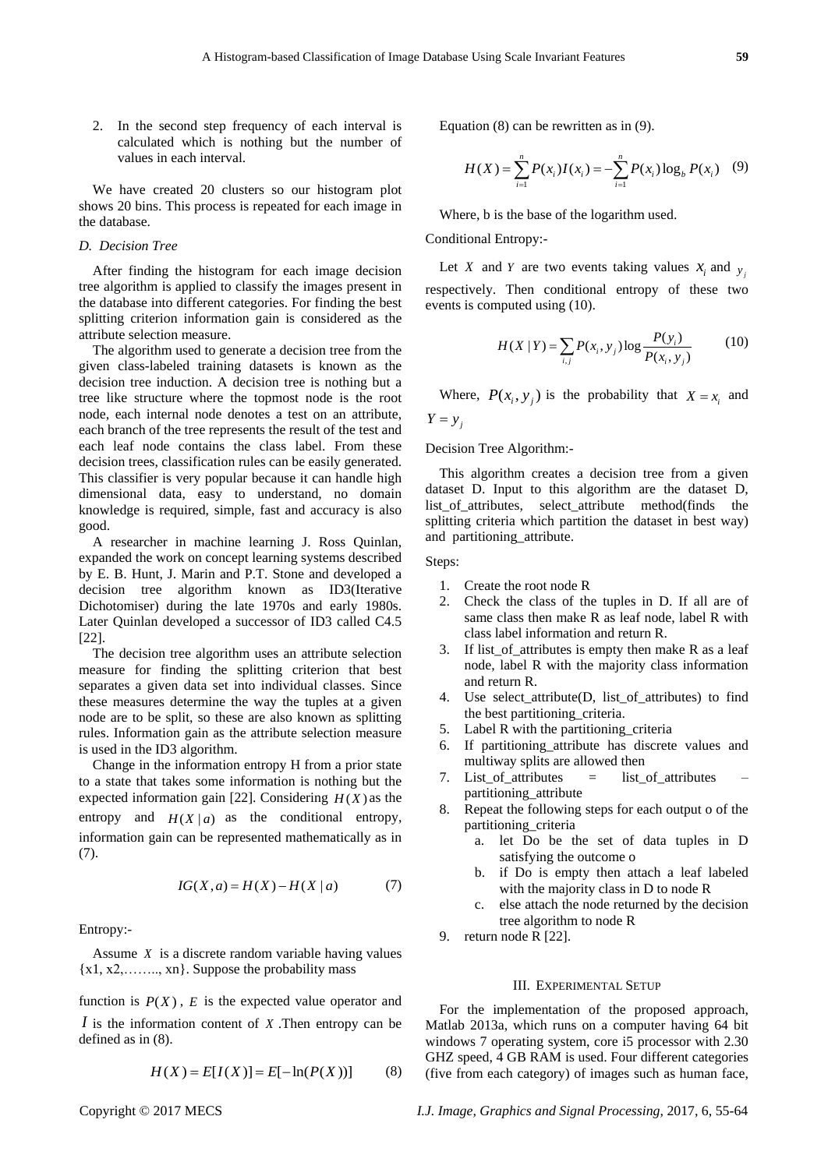2. In the second step frequency of each interval is calculated which is nothing but the number of values in each interval.

We have created 20 clusters so our histogram plot shows 20 bins. This process is repeated for each image in the database.

## *D. Decision Tree*

After finding the histogram for each image decision tree algorithm is applied to classify the images present in the database into different categories. For finding the best splitting criterion information gain is considered as the attribute selection measure.

The algorithm used to generate a decision tree from the given class-labeled training datasets is known as the decision tree induction. A decision tree is nothing but a tree like structure where the topmost node is the root node, each internal node denotes a test on an attribute, each branch of the tree represents the result of the test and each leaf node contains the class label. From these decision trees, classification rules can be easily generated. This classifier is very popular because it can handle high dimensional data, easy to understand, no domain knowledge is required, simple, fast and accuracy is also good.

A researcher in machine learning J. Ross Quinlan, expanded the work on concept learning systems described by E. B. Hunt, J. Marin and P.T. Stone and developed a decision tree algorithm known as ID3(Iterative Dichotomiser) during the late 1970s and early 1980s. Later Quinlan developed a successor of ID3 called C4.5 [22].

The decision tree algorithm uses an attribute selection measure for finding the splitting criterion that best separates a given data set into individual classes. Since these measures determine the way the tuples at a given node are to be split, so these are also known as splitting rules. Information gain as the attribute selection measure is used in the ID3 algorithm.

Change in the information entropy H from a prior state to a state that takes some information is nothing but the expected information gain [22]. Considering  $H(X)$  as the entropy and  $H(X | a)$  as the conditional entropy, information gain can be represented mathematically as in (7).

$$
IG(X, a) = H(X) - H(X | a)
$$
 (7)

Entropy:-

Assume *X* is a discrete random variable having values {x1, x2,…….., xn}. Suppose the probability mass

function is  $P(X)$ ,  $E$  is the expected value operator and *I* is the information content of *X* .Then entropy can be defined as in (8).

$$
H(X) = E[I(X)] = E[-\ln(P(X))]
$$
 (8)

Equation (8) can be rewritten as in (9).

ation (8) can be rewritten as in (9).  
\n
$$
H(X) = \sum_{i=1}^{n} P(x_i)I(x_i) = -\sum_{i=1}^{n} P(x_i) \log_b P(x_i)
$$
 (9)

Where, b is the base of the logarithm used.

## Conditional Entropy:-

Let *X* and *Y* are two events taking values  $x_i$  and  $y_j$ respectively. Then conditional entropy of these two events is computed using (10).

$$
H(X | Y) = \sum_{i,j} P(x_i, y_j) \log \frac{P(y_i)}{P(x_i, y_j)}
$$
(10)

Where,  $P(x_i, y_j)$  is the probability that  $X = x_i$  and  $Y = y_j$ 

Decision Tree Algorithm:-

This algorithm creates a decision tree from a given dataset D. Input to this algorithm are the dataset D, list\_of\_attributes, select\_attribute method(finds the splitting criteria which partition the dataset in best way) and partitioning\_attribute.

Steps:

- 1. Create the root node R
- 2. Check the class of the tuples in D. If all are of same class then make R as leaf node, label R with class label information and return R.
- 3. If list\_of\_attributes is empty then make R as a leaf node, label R with the majority class information and return R.
- 4. Use select\_attribute(D, list\_of\_attributes) to find the best partitioning\_criteria.
- 5. Label R with the partitioning\_criteria
- 6. If partitioning\_attribute has discrete values and multiway splits are allowed then
- 7. List\_of\_attributes = list\_of\_attributes partitioning\_attribute
- 8. Repeat the following steps for each output o of the partitioning\_criteria
	- a. let Do be the set of data tuples in D satisfying the outcome o
	- b. if Do is empty then attach a leaf labeled with the majority class in D to node R
	- c. else attach the node returned by the decision tree algorithm to node R
- 9. return node R [22].

## III. EXPERIMENTAL SETUP

For the implementation of the proposed approach, Matlab 2013a, which runs on a computer having 64 bit windows 7 operating system, core i5 processor with 2.30 GHZ speed, 4 GB RAM is used. Four different categories (five from each category) of images such as human face,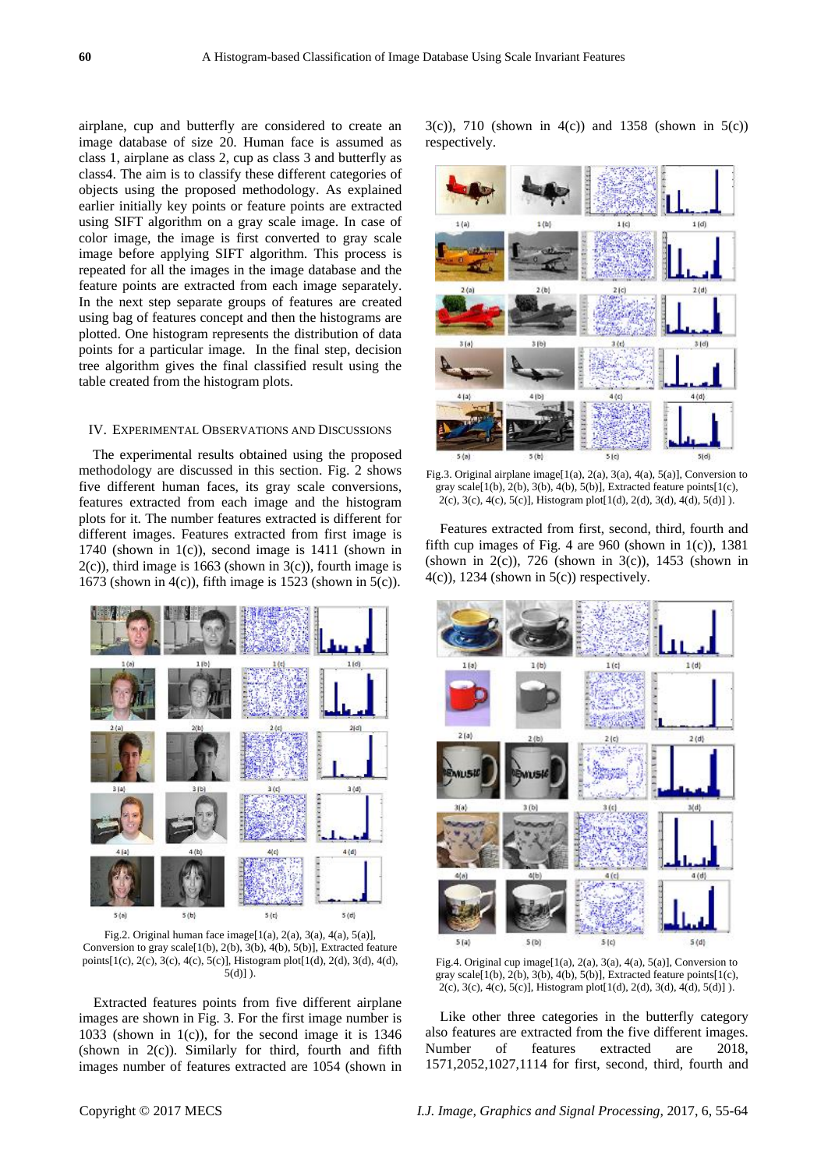airplane, cup and butterfly are considered to create an image database of size 20. Human face is assumed as class 1, airplane as class 2, cup as class 3 and butterfly as class4. The aim is to classify these different categories of objects using the proposed methodology. As explained earlier initially key points or feature points are extracted using SIFT algorithm on a gray scale image. In case of color image, the image is first converted to gray scale image before applying SIFT algorithm. This process is repeated for all the images in the image database and the feature points are extracted from each image separately. In the next step separate groups of features are created using bag of features concept and then the histograms are plotted. One histogram represents the distribution of data points for a particular image. In the final step, decision tree algorithm gives the final classified result using the table created from the histogram plots.

## IV. EXPERIMENTAL OBSERVATIONS AND DISCUSSIONS

The experimental results obtained using the proposed methodology are discussed in this section. Fig. 2 shows five different human faces, its gray scale conversions, features extracted from each image and the histogram plots for it. The number features extracted is different for different images. Features extracted from first image is 1740 (shown in  $1(c)$ ), second image is 1411 (shown in  $2(c)$ ), third image is 1663 (shown in  $3(c)$ ), fourth image is 1673 (shown in 4(c)), fifth image is 1523 (shown in 5(c)).



Fig.2. Original human face image[1(a), 2(a), 3(a), 4(a), 5(a)], Conversion to gray scale[1(b), 2(b), 3(b), 4(b), 5(b)], Extracted feature points[1(c), 2(c), 3(c), 4(c), 5(c)], Histogram plot[1(d), 2(d), 3(d), 4(d),  $5(d)]$ ).

Extracted features points from five different airplane images are shown in Fig. 3. For the first image number is 1033 (shown in 1(c)), for the second image it is  $1346$ (shown in  $2(c)$ ). Similarly for third, fourth and fifth images number of features extracted are 1054 (shown in 3(c)), 710 (shown in 4(c)) and 1358 (shown in 5(c)) respectively.



Fig.3. Original airplane image[1(a), 2(a), 3(a), 4(a), 5(a)], Conversion to gray scale[1(b), 2(b), 3(b), 4(b), 5(b)], Extracted feature points[1(c), 2(c), 3(c), 4(c), 5(c)], Histogram plot[1(d), 2(d), 3(d), 4(d), 5(d)] ).

Features extracted from first, second, third, fourth and fifth cup images of Fig. 4 are 960 (shown in  $1(c)$ ), 1381 (shown in  $2(c)$ ), 726 (shown in  $3(c)$ ), 1453 (shown in  $4(c)$ ), 1234 (shown in  $5(c)$ ) respectively.



Fig.4. Original cup image[1(a), 2(a), 3(a), 4(a), 5(a)], Conversion to gray scale[1(b), 2(b), 3(b), 4(b), 5(b)], Extracted feature points[1(c), 2(c), 3(c), 4(c), 5(c)], Histogram plot[1(d), 2(d), 3(d), 4(d), 5(d)] ).

Like other three categories in the butterfly category also features are extracted from the five different images. Number of features extracted are 2018, 1571,2052,1027,1114 for first, second, third, fourth and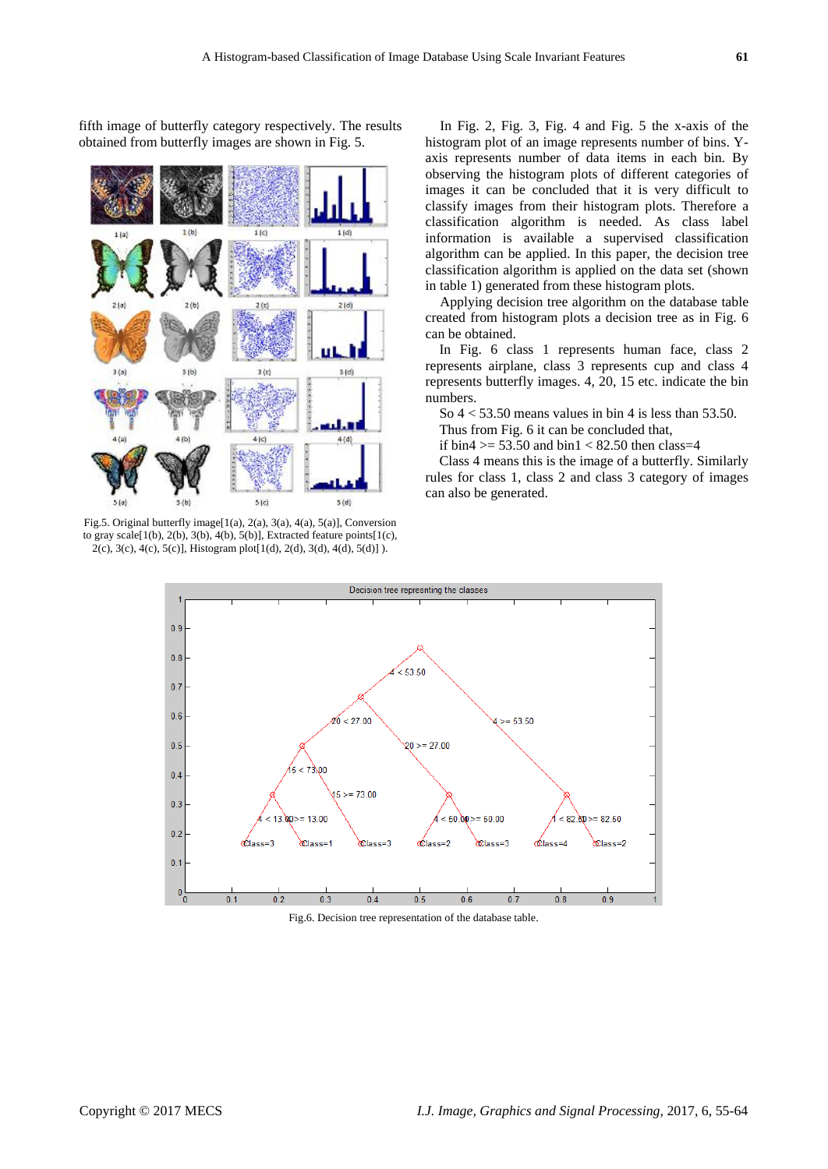fifth image of butterfly category respectively. The results obtained from butterfly images are shown in Fig. 5.



Fig.5. Original butterfly image[1(a), 2(a), 3(a), 4(a), 5(a)], Conversion to gray scale[1(b), 2(b), 3(b), 4(b), 5(b)], Extracted feature points[1(c), 2(c), 3(c), 4(c), 5(c)], Histogram plot[1(d), 2(d), 3(d), 4(d), 5(d)] ).

In Fig. 2, Fig. 3, Fig. 4 and Fig. 5 the x-axis of the histogram plot of an image represents number of bins. Yaxis represents number of data items in each bin. By observing the histogram plots of different categories of images it can be concluded that it is very difficult to classify images from their histogram plots. Therefore a classification algorithm is needed. As class label information is available a supervised classification algorithm can be applied. In this paper, the decision tree classification algorithm is applied on the data set (shown in table 1) generated from these histogram plots.

Applying decision tree algorithm on the database table created from histogram plots a decision tree as in Fig. 6 can be obtained.

In Fig. 6 class 1 represents human face, class 2 represents airplane, class 3 represents cup and class 4 represents butterfly images. 4, 20, 15 etc. indicate the bin numbers.

So  $4 < 53.50$  means values in bin 4 is less than 53.50.

Thus from Fig. 6 it can be concluded that,

if bin4  $>$  = 53.50 and bin1 < 82.50 then class=4

Class 4 means this is the image of a butterfly. Similarly rules for class 1, class 2 and class 3 category of images can also be generated.



Fig.6. Decision tree representation of the database table.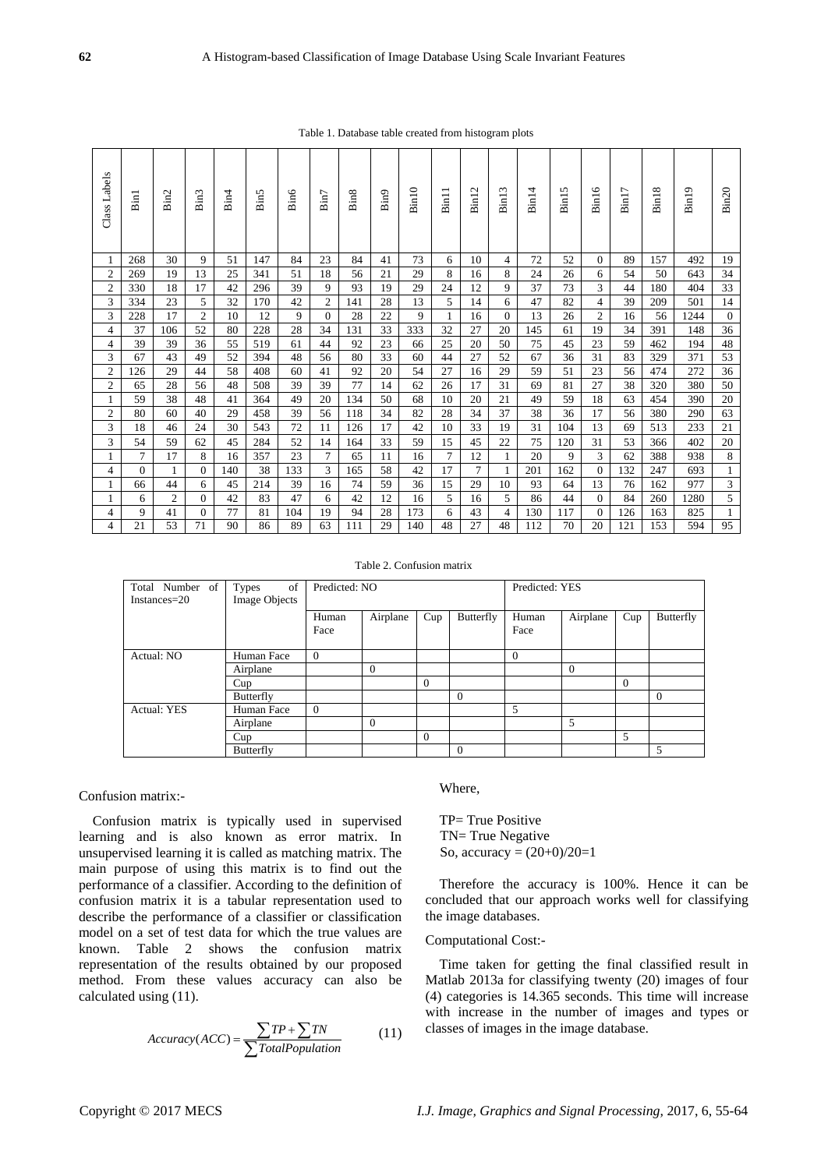| Class Labels            | <b>Bin1</b> | Bin2 | Bin3           | Bin4 | Bin5 | Bin6 | Bin7           | Bin <sub>8</sub> | Bin9 | Bin10 | Bin11 | Bin12          | Bin13    | Bin14 | Bin15 | Bin16          | Bin17 | Bin18 | Bin19 | Bin20        |
|-------------------------|-------------|------|----------------|------|------|------|----------------|------------------|------|-------|-------|----------------|----------|-------|-------|----------------|-------|-------|-------|--------------|
|                         | 268         | 30   | 9              | 51   | 147  | 84   | 23             | 84               | 41   | 73    | 6     | 10             | 4        | 72    | 52    | $\theta$       | 89    | 157   | 492   | 19           |
| $\overline{c}$          | 269         | 19   | 13             | 25   | 341  | 51   | 18             | 56               | 21   | 29    | 8     | 16             | 8        | 24    | 26    | 6              | 54    | 50    | 643   | 34           |
| $\overline{\mathbf{c}}$ | 330         | 18   | 17             | 42   | 296  | 39   | 9              | 93               | 19   | 29    | 24    | 12             | 9        | 37    | 73    | 3              | 44    | 180   | 404   | 33           |
| 3                       | 334         | 23   | 5              | 32   | 170  | 42   | $\overline{c}$ | 141              | 28   | 13    | 5     | 14             | 6        | 47    | 82    | $\overline{4}$ | 39    | 209   | 501   | 14           |
| 3                       | 228         | 17   | $\overline{c}$ | 10   | 12   | 9    | $\theta$       | 28               | 22   | 9     | 1     | 16             | $\Omega$ | 13    | 26    | $\overline{c}$ | 16    | 56    | 1244  | $\mathbf{0}$ |
| $\overline{4}$          | 37          | 106  | 52             | 80   | 228  | 28   | 34             | 131              | 33   | 333   | 32    | 27             | 20       | 145   | 61    | 19             | 34    | 391   | 148   | 36           |
| 4                       | 39          | 39   | 36             | 55   | 519  | 61   | 44             | 92               | 23   | 66    | 25    | 20             | 50       | 75    | 45    | 23             | 59    | 462   | 194   | 48           |
| 3                       | 67          | 43   | 49             | 52   | 394  | 48   | 56             | 80               | 33   | 60    | 44    | 27             | 52       | 67    | 36    | 31             | 83    | 329   | 371   | 53           |
| $\overline{c}$          | 126         | 29   | 44             | 58   | 408  | 60   | 41             | 92               | 20   | 54    | 27    | 16             | 29       | 59    | 51    | 23             | 56    | 474   | 272   | 36           |
| 2                       | 65          | 28   | 56             | 48   | 508  | 39   | 39             | 77               | 14   | 62    | 26    | 17             | 31       | 69    | 81    | 27             | 38    | 320   | 380   | 50           |
| 1                       | 59          | 38   | 48             | 41   | 364  | 49   | 20             | 134              | 50   | 68    | 10    | 20             | 21       | 49    | 59    | 18             | 63    | 454   | 390   | 20           |
| $\overline{c}$          | 80          | 60   | 40             | 29   | 458  | 39   | 56             | 118              | 34   | 82    | 28    | 34             | 37       | 38    | 36    | 17             | 56    | 380   | 290   | 63           |
| 3                       | 18          | 46   | 24             | 30   | 543  | 72   | 11             | 126              | 17   | 42    | 10    | 33             | 19       | 31    | 104   | 13             | 69    | 513   | 233   | 21           |
| 3                       | 54          | 59   | 62             | 45   | 284  | 52   | 14             | 164              | 33   | 59    | 15    | 45             | 22       | 75    | 120   | 31             | 53    | 366   | 402   | 20           |
|                         | $\tau$      | 17   | 8              | 16   | 357  | 23   | 7              | 65               | 11   | 16    | 7     | 12             | 1        | 20    | 9     | 3              | 62    | 388   | 938   | $\,$ 8 $\,$  |
| 4                       | $\theta$    | 1    | $\Omega$       | 140  | 38   | 133  | 3              | 165              | 58   | 42    | 17    | $\overline{7}$ |          | 201   | 162   | $\Omega$       | 132   | 247   | 693   | $\mathbf{1}$ |
| 1                       | 66          | 44   | 6              | 45   | 214  | 39   | 16             | 74               | 59   | 36    | 15    | 29             | 10       | 93    | 64    | 13             | 76    | 162   | 977   | $\sqrt{3}$   |
|                         | 6           | 2    | $\Omega$       | 42   | 83   | 47   | 6              | 42               | 12   | 16    | 5     | 16             | 5        | 86    | 44    | $\Omega$       | 84    | 260   | 1280  | 5            |
| 4                       | 9           | 41   | $\overline{0}$ | 77   | 81   | 104  | 19             | 94               | 28   | 173   | 6     | 43             | 4        | 130   | 117   | $\overline{0}$ | 126   | 163   | 825   | $\mathbf{1}$ |
| $\overline{4}$          | 21          | 53   | 71             | 90   | 86   | 89   | 63             | 111              | 29   | 140   | 48    | 27             | 48       | 112   | 70    | 20             | 121   | 153   | 594   | 95           |

Table 1. Database table created from histogram plots

Table 2. Confusion matrix

| Total Number of    | of<br>Types   | Predicted: NO |          |          |           | Predicted: YES |          |          |                  |  |
|--------------------|---------------|---------------|----------|----------|-----------|----------------|----------|----------|------------------|--|
| $Instantes = 20$   | Image Objects |               |          |          |           |                |          |          |                  |  |
|                    |               | Human         | Airplane | Cup      | Butterfly | Human          | Airplane | Cup      | <b>Butterfly</b> |  |
|                    |               | Face          |          |          |           | Face           |          |          |                  |  |
|                    |               |               |          |          |           |                |          |          |                  |  |
| Actual: NO         | Human Face    | $\Omega$      |          |          |           | $\Omega$       |          |          |                  |  |
|                    | Airplane      |               | $\Omega$ |          |           |                | $\Omega$ |          |                  |  |
|                    | Cup           |               |          | $\Omega$ |           |                |          | $\Omega$ |                  |  |
|                    | Butterfly     |               |          |          | $\Omega$  |                |          |          | $\theta$         |  |
| <b>Actual: YES</b> | Human Face    | $\theta$      |          |          |           | 5              |          |          |                  |  |
|                    | Airplane      |               | $\Omega$ |          |           |                | 5        |          |                  |  |
|                    | Cup           |               |          | $\Omega$ |           |                |          | 5        |                  |  |
|                    | Butterfly     |               |          |          | $\Omega$  |                |          |          | 5                |  |

## Confusion matrix:-

Confusion matrix is typically used in supervised learning and is also known as error matrix. In unsupervised learning it is called as matching matrix. The main purpose of using this matrix is to find out the performance of a classifier. According to the definition of confusion matrix it is a tabular representation used to describe the performance of a classifier or classification model on a set of test data for which the true values are known. Table 2 shows the confusion matrix representation of the results obtained by our proposed method. From these values accuracy can also be calculated using (11).

sing (11).  
\n
$$
Accuracy(ACC) = \frac{\sum TP + \sum TN}{\sum TotalPopulation}
$$
\n(11)

# Where,

TP= True Positive TN= True Negative So, accuracy =  $(20+0)/20=1$ 

Therefore the accuracy is 100%. Hence it can be concluded that our approach works well for classifying the image databases.

## Computational Cost:-

Time taken for getting the final classified result in Matlab 2013a for classifying twenty (20) images of four (4) categories is 14.365 seconds. This time will increase with increase in the number of images and types or classes of images in the image database.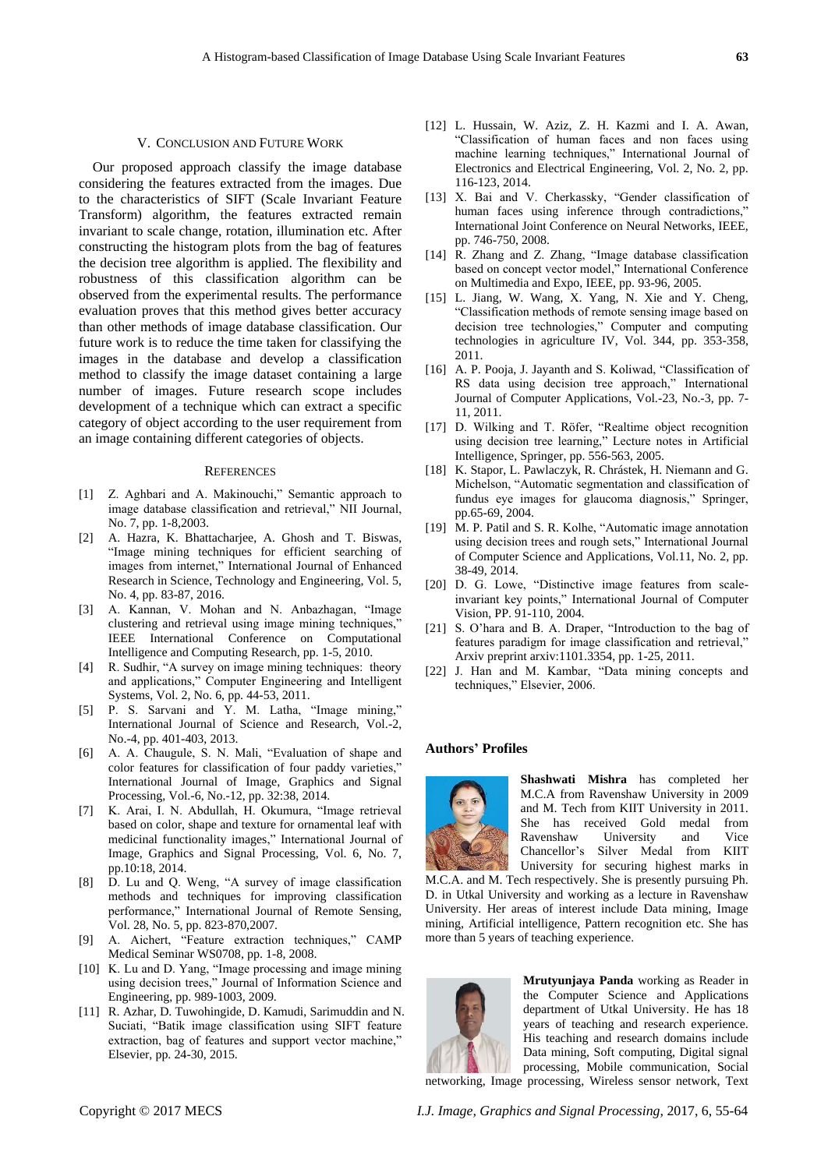#### V. CONCLUSION AND FUTURE WORK

Our proposed approach classify the image database considering the features extracted from the images. Due to the characteristics of SIFT (Scale Invariant Feature Transform) algorithm, the features extracted remain invariant to scale change, rotation, illumination etc. After constructing the histogram plots from the bag of features the decision tree algorithm is applied. The flexibility and robustness of this classification algorithm can be observed from the experimental results. The performance evaluation proves that this method gives better accuracy than other methods of image database classification. Our future work is to reduce the time taken for classifying the images in the database and develop a classification method to classify the image dataset containing a large number of images. Future research scope includes development of a technique which can extract a specific category of object according to the user requirement from an image containing different categories of objects.

#### **REFERENCES**

- [1] Z. Aghbari and A. Makinouchi," Semantic approach to image database classification and retrieval," NII Journal, No. 7, pp. 1-8,2003.
- [2] A. Hazra, K. Bhattacharjee, A. Ghosh and T. Biswas, "Image mining techniques for efficient searching of images from internet," International Journal of Enhanced Research in Science, Technology and Engineering, Vol. 5, No. 4, pp. 83-87, 2016.
- [3] A. Kannan, V. Mohan and N. Anbazhagan, "Image clustering and retrieval using image mining techniques,' IEEE International Conference on Computational Intelligence and Computing Research, pp. 1-5, 2010.
- [4] R. Sudhir, "A survey on image mining techniques: theory and applications," Computer Engineering and Intelligent Systems, Vol. 2, No. 6, pp. 44-53, 2011.
- [5] P. S. Sarvani and Y. M. Latha, "Image mining," International Journal of Science and Research, Vol.-2, No.-4, pp. 401-403, 2013.
- [6] A. A. Chaugule, S. N. Mali, "Evaluation of shape and color features for classification of four paddy varieties," International Journal of Image, Graphics and Signal Processing, Vol.-6, No.-12, pp. 32:38, 2014.
- [7] K. Arai, I. N. Abdullah, H. Okumura, "Image retrieval based on color, shape and texture for ornamental leaf with medicinal functionality images," International Journal of Image, Graphics and Signal Processing, Vol. 6, No. 7, pp.10:18, 2014.
- [8] D. Lu and Q. Weng, "A survey of image classification methods and techniques for improving classification performance," International Journal of Remote Sensing, Vol. 28, No. 5, pp. 823-870,2007.
- [9] A. Aichert, "Feature extraction techniques," CAMP Medical Seminar WS0708, pp. 1-8, 2008.
- [10] K. Lu and D. Yang, "Image processing and image mining using decision trees," Journal of Information Science and Engineering, pp. 989-1003, 2009.
- [11] R. Azhar, D. Tuwohingide, D. Kamudi, Sarimuddin and N. Suciati, "Batik image classification using SIFT feature extraction, bag of features and support vector machine," Elsevier, pp. 24-30, 2015.
- [12] L. Hussain, W. Aziz, Z. H. Kazmi and I. A. Awan, "Classification of human faces and non faces using machine learning techniques," International Journal of Electronics and Electrical Engineering, Vol. 2, No. 2, pp. 116-123, 2014.
- [13] X. Bai and V. Cherkassky, "Gender classification of human faces using inference through contradictions," International Joint Conference on Neural Networks, IEEE, pp. 746-750, 2008.
- [14] R. Zhang and Z. Zhang, "Image database classification based on concept vector model," International Conference on Multimedia and Expo, IEEE, pp. 93-96, 2005.
- [15] L. Jiang, W. Wang, X. Yang, N. Xie and Y. Cheng, "Classification methods of remote sensing image based on decision tree technologies," Computer and computing technologies in agriculture IV, Vol. 344, pp. 353-358, 2011.
- [16] A. P. Pooja, J. Jayanth and S. Koliwad, "Classification of RS data using decision tree approach," International Journal of Computer Applications, Vol.-23, No.-3, pp. 7- 11, 2011.
- [17] D. Wilking and T. Röfer, "Realtime object recognition using decision tree learning," Lecture notes in Artificial Intelligence, Springer, pp. 556-563, 2005.
- [18] K. Stapor, L. Pawlaczyk, R. Chrástek, H. Niemann and G. Michelson, "Automatic segmentation and classification of fundus eye images for glaucoma diagnosis," Springer, pp.65-69, 2004.
- [19] M. P. Patil and S. R. Kolhe, "Automatic image annotation using decision trees and rough sets," International Journal of Computer Science and Applications, Vol.11, No. 2, pp. 38-49, 2014.
- [20] D. G. Lowe, "Distinctive image features from scaleinvariant key points," International Journal of Computer Vision, PP. 91-110, 2004.
- [21] S. O'hara and B. A. Draper, "Introduction to the bag of features paradigm for image classification and retrieval," Arxiv preprint arxiv:1101.3354, pp. 1-25, 2011.
- [22] J. Han and M. Kambar, "Data mining concepts and techniques," Elsevier, 2006.

#### **Authors' Profiles**



**Shashwati Mishra** has completed her M.C.A from Ravenshaw University in 2009 and M. Tech from KIIT University in 2011. She has received Gold medal from Ravenshaw University and Vice Chancellor's Silver Medal from KIIT University for securing highest marks in

M.C.A. and M. Tech respectively. She is presently pursuing Ph. D. in Utkal University and working as a lecture in Ravenshaw University. Her areas of interest include Data mining, Image mining, Artificial intelligence, Pattern recognition etc. She has more than 5 years of teaching experience.



**Mrutyunjaya Panda** working as Reader in the Computer Science and Applications department of Utkal University. He has 18 years of teaching and research experience. His teaching and research domains include Data mining, Soft computing, Digital signal processing, Mobile communication, Social networking, Image processing, Wireless sensor network, Text

Copyright © 2017 MECS *I.J. Image, Graphics and Signal Processing,* 2017, 6, 55-64